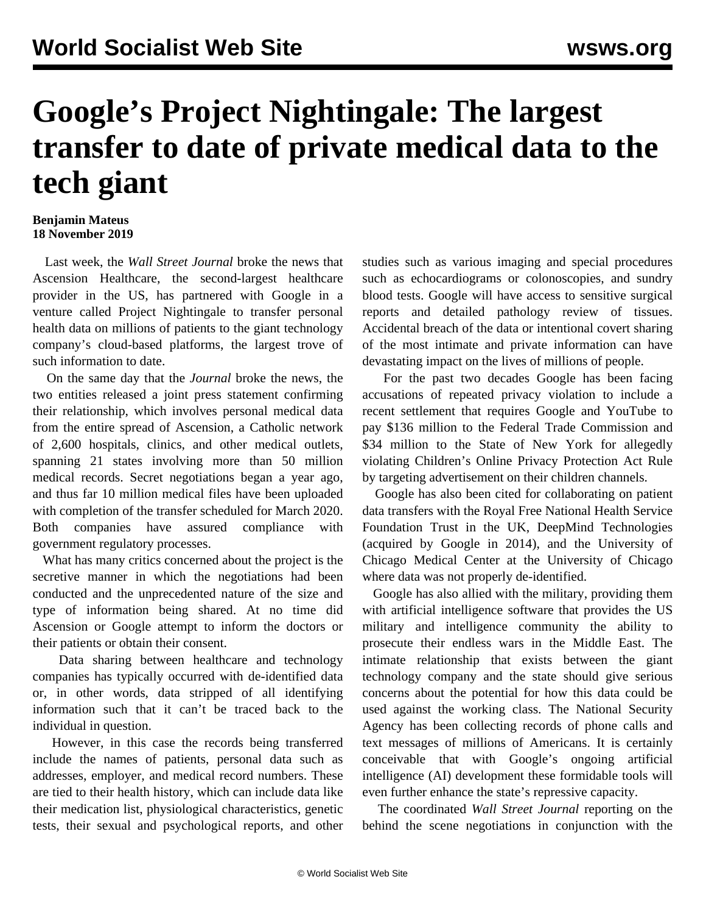## **Google's Project Nightingale: The largest transfer to date of private medical data to the tech giant**

## **Benjamin Mateus 18 November 2019**

 Last week, the *Wall Street Journal* broke the news that Ascension Healthcare, the second-largest healthcare provider in the US, has partnered with Google in a venture called Project Nightingale to transfer personal health data on millions of patients to the giant technology company's cloud-based platforms, the largest trove of such information to date.

 On the same day that the *Journal* broke the news, the two entities released a joint press statement confirming their relationship, which involves personal medical data from the entire spread of Ascension, a Catholic network of 2,600 hospitals, clinics, and other medical outlets, spanning 21 states involving more than 50 million medical records. Secret negotiations began a year ago, and thus far 10 million medical files have been uploaded with completion of the transfer scheduled for March 2020. Both companies have assured compliance with government regulatory processes.

 What has many critics concerned about the project is the secretive manner in which the negotiations had been conducted and the unprecedented nature of the size and type of information being shared. At no time did Ascension or Google attempt to inform the doctors or their patients or obtain their consent.

 Data sharing between healthcare and technology companies has typically occurred with de-identified data or, in other words, data stripped of all identifying information such that it can't be traced back to the individual in question.

 However, in this case the records being transferred include the names of patients, personal data such as addresses, employer, and medical record numbers. These are tied to their health history, which can include data like their medication list, physiological characteristics, genetic tests, their sexual and psychological reports, and other studies such as various imaging and special procedures such as echocardiograms or colonoscopies, and sundry blood tests. Google will have access to sensitive surgical reports and detailed pathology review of tissues. Accidental breach of the data or intentional covert sharing of the most intimate and private information can have devastating impact on the lives of millions of people.

 For the past two decades Google has been facing accusations of repeated privacy violation to include a recent settlement that requires Google and YouTube to pay \$136 million to the Federal Trade Commission and \$34 million to the State of New York for allegedly violating Children's Online Privacy Protection Act Rule by targeting advertisement on their children channels.

 Google has also been cited for collaborating on patient data transfers with the Royal Free National Health Service Foundation Trust in the UK, DeepMind Technologies (acquired by Google in 2014), and the University of Chicago Medical Center at the University of Chicago where data was not properly de-identified.

 Google has also allied with the military, providing them with artificial intelligence software that provides the US military and intelligence community the ability to prosecute their endless wars in the Middle East. The intimate relationship that exists between the giant technology company and the state should give serious concerns about the potential for how this data could be used against the working class. The National Security Agency has been collecting records of phone calls and text messages of millions of Americans. It is certainly conceivable that with Google's ongoing artificial intelligence (AI) development these formidable tools will even further enhance the state's repressive capacity.

 The coordinated *Wall Street Journal* reporting on the behind the scene negotiations in conjunction with the